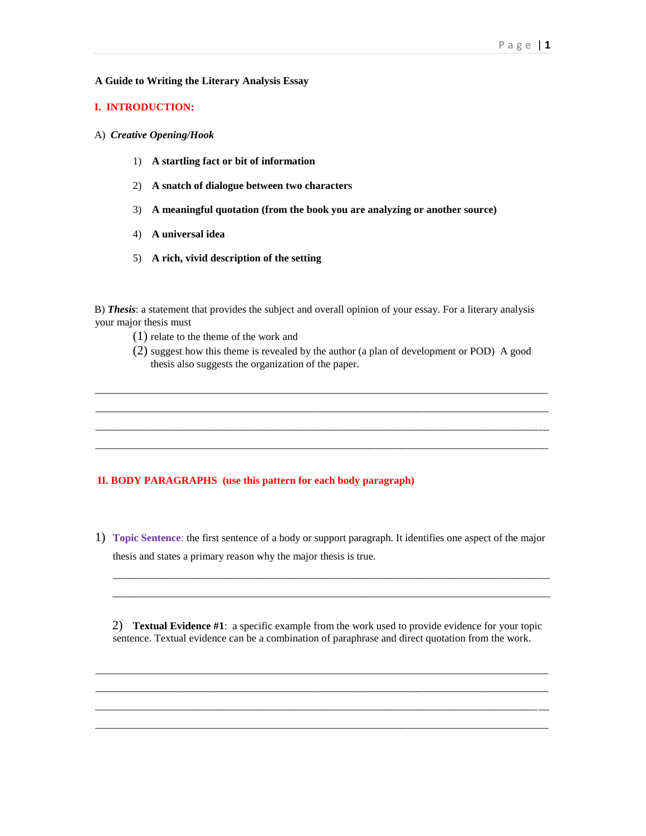### **A Guide to Writing the Literary Analysis Essay**

# **I. INTRODUCTION:**

## A) *Creative Opening/Hook*

- 1) **A startling fact or bit of information**
- 2) **A snatch of dialogue between two characters**
- 3) **A meaningful quotation (from the book you are analyzing or another source)**
- 4) **A universal idea**
- 5) **A rich, vivid description of the setting**

B) *Thesis*: a statement that provides the subject and overall opinion of your essay. For a literary analysis your major thesis must

- (1) relate to the theme of the work and
- (2) suggest how this theme is revealed by the author (a plan of development or POD) A good thesis also suggests the organization of the paper.

\_\_\_\_\_\_\_\_\_\_\_\_\_\_\_\_\_\_\_\_\_\_\_\_\_\_\_\_\_\_\_\_\_\_\_\_\_\_\_\_\_\_\_\_\_\_\_\_\_\_\_\_\_\_\_\_\_\_\_\_\_\_\_\_\_\_\_\_\_\_\_\_\_\_\_\_\_\_\_\_\_\_\_\_\_\_ \_\_\_\_\_\_\_\_\_\_\_\_\_\_\_\_\_\_\_\_\_\_\_\_\_\_\_\_\_\_\_\_\_\_\_\_\_\_\_\_\_\_\_\_\_\_\_\_\_\_\_\_\_\_\_\_\_\_\_\_\_\_\_\_\_\_\_\_\_\_\_\_\_\_\_\_\_\_\_\_\_\_\_\_\_\_ \_\_\_\_\_\_\_\_\_\_\_\_\_\_\_\_\_\_\_\_\_\_\_\_\_\_\_\_\_\_\_\_\_\_\_\_\_\_\_\_\_\_\_\_\_\_\_\_\_\_\_\_\_\_\_\_\_\_\_\_\_\_\_\_\_\_\_\_\_\_\_\_\_\_\_\_\_\_\_\_\_\_\_\_\_\_ \_\_\_\_\_\_\_\_\_\_\_\_\_\_\_\_\_\_\_\_\_\_\_\_\_\_\_\_\_\_\_\_\_\_\_\_\_\_\_\_\_\_\_\_\_\_\_\_\_\_\_\_\_\_\_\_\_\_\_\_\_\_\_\_\_\_\_\_\_\_\_\_\_\_\_\_\_\_\_\_\_\_\_\_\_\_

## **II. BODY PARAGRAPHS (use this pattern for each body paragraph)**

1) **Topic Sentence**: the first sentence of a body or support paragraph. It identifies one aspect of the major thesis and states a primary reason why the major thesis is true.

2) **Textual Evidence #1**: a specific example from the work used to provide evidence for your topic sentence. Textual evidence can be a combination of paraphrase and direct quotation from the work.

\_\_\_\_\_\_\_\_\_\_\_\_\_\_\_\_\_\_\_\_\_\_\_\_\_\_\_\_\_\_\_\_\_\_\_\_\_\_\_\_\_\_\_\_\_\_\_\_\_\_\_\_\_\_\_\_\_\_\_\_\_\_\_\_\_\_\_\_\_\_\_\_\_\_\_\_\_\_\_\_\_\_\_\_\_\_ \_\_\_\_\_\_\_\_\_\_\_\_\_\_\_\_\_\_\_\_\_\_\_\_\_\_\_\_\_\_\_\_\_\_\_\_\_\_\_\_\_\_\_\_\_\_\_\_\_\_\_\_\_\_\_\_\_\_\_\_\_\_\_\_\_\_\_\_\_\_\_\_\_\_\_\_\_\_\_\_\_\_\_\_\_\_ \_\_\_\_\_\_\_\_\_\_\_\_\_\_\_\_\_\_\_\_\_\_\_\_\_\_\_\_\_\_\_\_\_\_\_\_\_\_\_\_\_\_\_\_\_\_\_\_\_\_\_\_\_\_\_\_\_\_\_\_\_\_\_\_\_\_\_\_\_\_\_\_\_\_\_\_\_\_\_\_\_\_\_\_\_\_ \_\_\_\_\_\_\_\_\_\_\_\_\_\_\_\_\_\_\_\_\_\_\_\_\_\_\_\_\_\_\_\_\_\_\_\_\_\_\_\_\_\_\_\_\_\_\_\_\_\_\_\_\_\_\_\_\_\_\_\_\_\_\_\_\_\_\_\_\_\_\_\_\_\_\_\_\_\_\_\_\_\_\_\_\_\_

\_\_\_\_\_\_\_\_\_\_\_\_\_\_\_\_\_\_\_\_\_\_\_\_\_\_\_\_\_\_\_\_\_\_\_\_\_\_\_\_\_\_\_\_\_\_\_\_\_\_\_\_\_\_\_\_\_\_\_\_\_\_\_\_\_\_\_\_\_\_\_\_\_\_\_\_\_\_\_\_\_\_\_ \_\_\_\_\_\_\_\_\_\_\_\_\_\_\_\_\_\_\_\_\_\_\_\_\_\_\_\_\_\_\_\_\_\_\_\_\_\_\_\_\_\_\_\_\_\_\_\_\_\_\_\_\_\_\_\_\_\_\_\_\_\_\_\_\_\_\_\_\_\_\_\_\_\_\_\_\_\_\_\_\_\_\_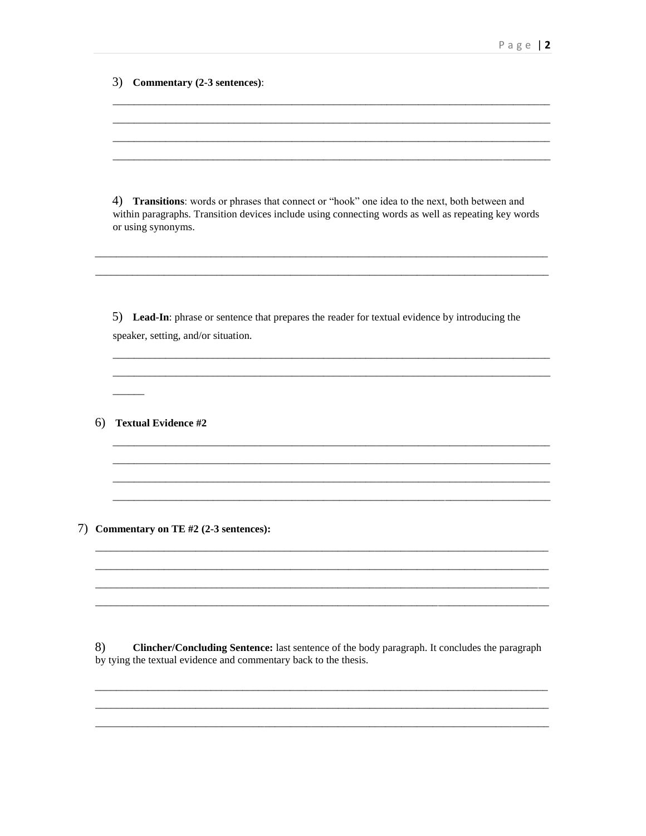3) Commentary (2-3 sentences):

4) Transitions: words or phrases that connect or "hook" one idea to the next, both between and within paragraphs. Transition devices include using connecting words as well as repeating key words or using synonyms.

5) Lead-In: phrase or sentence that prepares the reader for textual evidence by introducing the speaker, setting, and/or situation.

6) Textual Evidence #2

7) Commentary on TE #2 (2-3 sentences):

8) Clincher/Concluding Sentence: last sentence of the body paragraph. It concludes the paragraph by tying the textual evidence and commentary back to the thesis.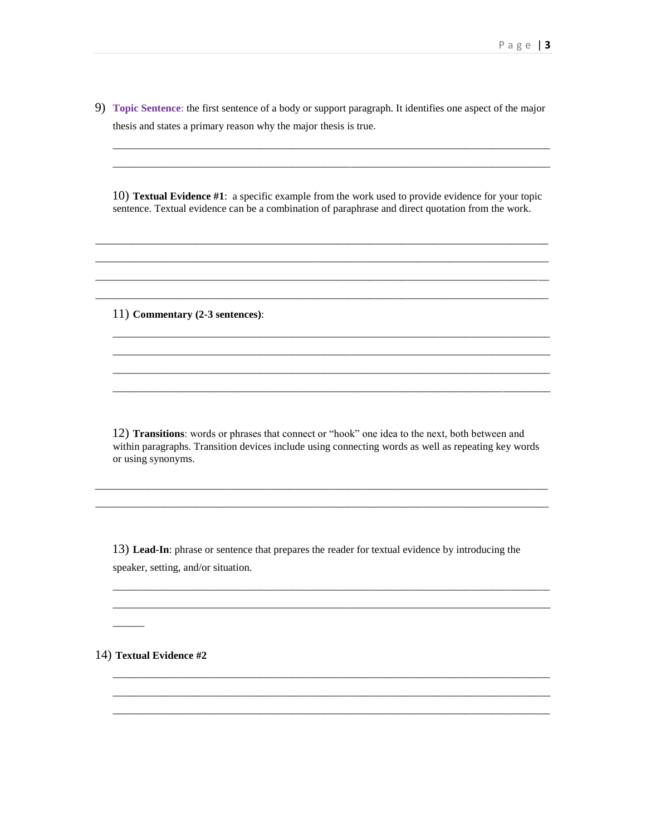9) Topic Sentence: the first sentence of a body or support paragraph. It identifies one aspect of the major thesis and states a primary reason why the major thesis is true.

10) Textual Evidence #1: a specific example from the work used to provide evidence for your topic sentence. Textual evidence can be a combination of paraphrase and direct quotation from the work.

11) Commentary (2-3 sentences):

12) Transitions: words or phrases that connect or "hook" one idea to the next, both between and within paragraphs. Transition devices include using connecting words as well as repeating key words or using synonyms.

13) Lead-In: phrase or sentence that prepares the reader for textual evidence by introducing the speaker, setting, and/or situation.

14) Textual Evidence #2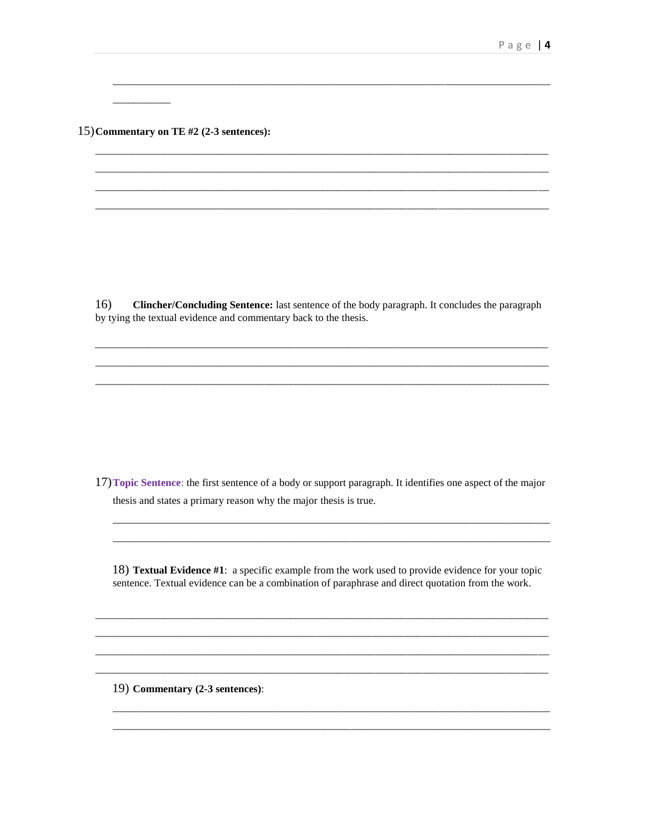15) Commentary on TE #2 (2-3 sentences):

16) Clincher/Concluding Sentence: last sentence of the body paragraph. It concludes the paragraph by tying the textual evidence and commentary back to the thesis.

17) Topic Sentence: the first sentence of a body or support paragraph. It identifies one aspect of the major thesis and states a primary reason why the major thesis is true.

18) Textual Evidence #1: a specific example from the work used to provide evidence for your topic sentence. Textual evidence can be a combination of paraphrase and direct quotation from the work.

19) Commentary (2-3 sentences):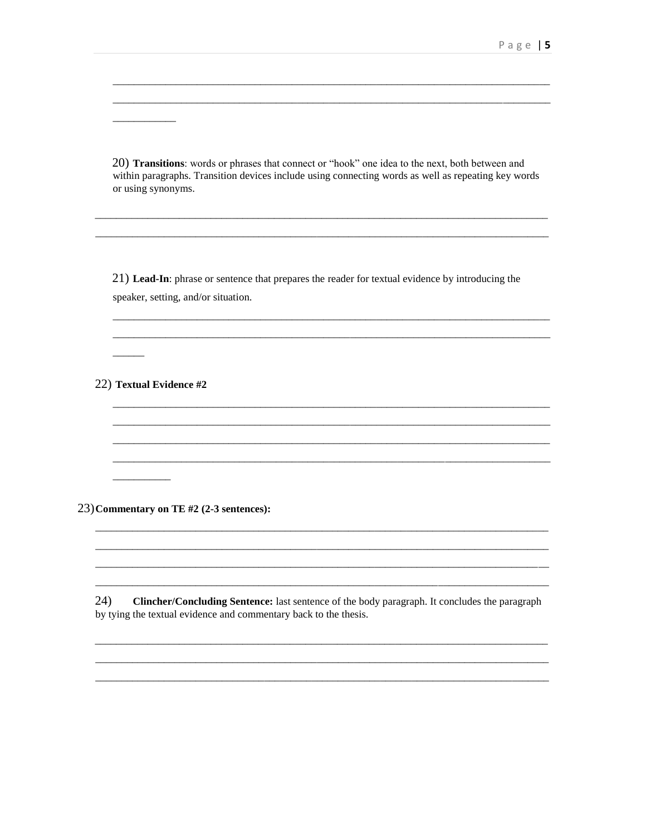20) Transitions: words or phrases that connect or "hook" one idea to the next, both between and within paragraphs. Transition devices include using connecting words as well as repeating key words or using synonyms.

21) Lead-In: phrase or sentence that prepares the reader for textual evidence by introducing the speaker, setting, and/or situation.

22) Textual Evidence #2

 $\frac{1}{1}$ 

23) Commentary on TE #2 (2-3 sentences):

24) Clincher/Concluding Sentence: last sentence of the body paragraph. It concludes the paragraph by tying the textual evidence and commentary back to the thesis.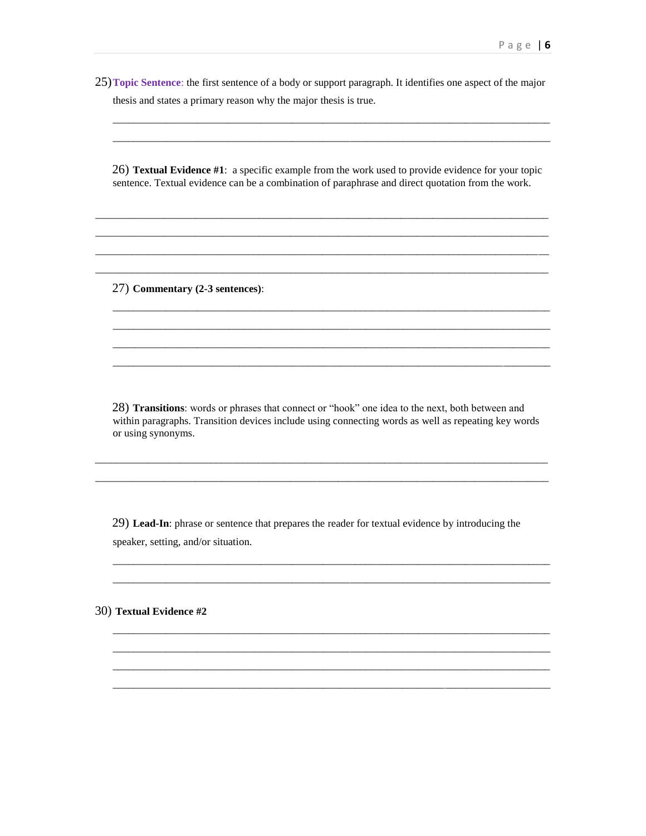25) Topic Sentence: the first sentence of a body or support paragraph. It identifies one aspect of the major thesis and states a primary reason why the major thesis is true.

26) Textual Evidence #1: a specific example from the work used to provide evidence for your topic sentence. Textual evidence can be a combination of paraphrase and direct quotation from the work.

27) Commentary (2-3 sentences):

28) Transitions: words or phrases that connect or "hook" one idea to the next, both between and within paragraphs. Transition devices include using connecting words as well as repeating key words or using synonyms.

29) Lead-In: phrase or sentence that prepares the reader for textual evidence by introducing the speaker, setting, and/or situation.

30) Textual Evidence #2